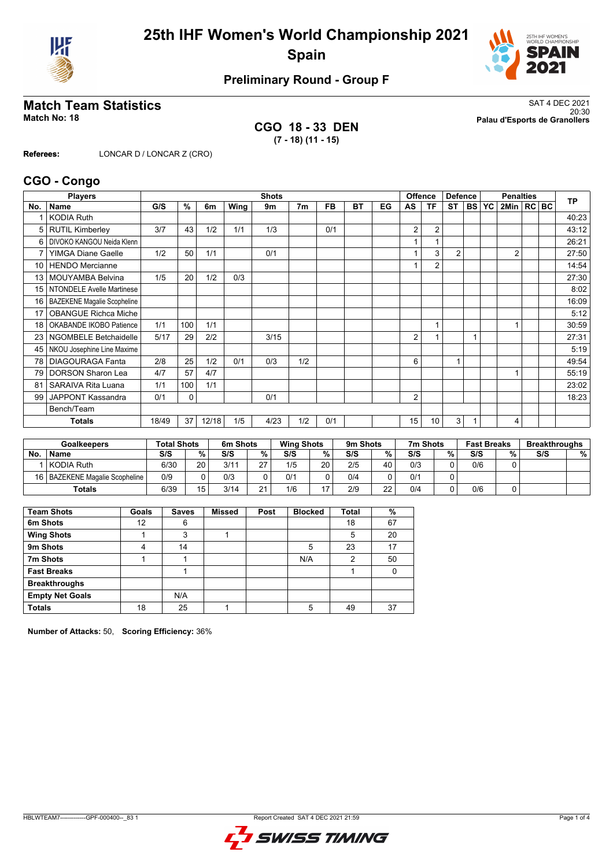



## **Preliminary Round - Group F**

**CGO 18 - 33 DEN (7 - 18) (11 - 15)**

**Match Team Statistics** SAT 4 DEC 2021 20:30 **Match No: 18 Palau d'Esports de Granollers**

**Referees:** LONCAR D / LONCAR Z (CRO)

#### **CGO - Congo**

|                 | <b>Players</b>                     |       |     |       |      | <b>Shots</b> |     |           |           |    |                | <b>Offence</b>  | <b>Defence</b> |              |                | <b>Penalties</b><br><b>TP</b> |  |       |  |  |
|-----------------|------------------------------------|-------|-----|-------|------|--------------|-----|-----------|-----------|----|----------------|-----------------|----------------|--------------|----------------|-------------------------------|--|-------|--|--|
| No.             | <b>Name</b>                        | G/S   | %   | 6m    | Wing | 9m           | 7m  | <b>FB</b> | <b>BT</b> | EG | AS             | ΤF              | <b>ST</b>      | <b>BS YC</b> | 2Min   RC   BC |                               |  |       |  |  |
|                 | <b>KODIA Ruth</b>                  |       |     |       |      |              |     |           |           |    |                |                 |                |              |                |                               |  | 40:23 |  |  |
| 5               | <b>RUTIL Kimberley</b>             | 3/7   | 43  | 1/2   | 1/1  | 1/3          |     | 0/1       |           |    | 2              | $\overline{2}$  |                |              |                |                               |  | 43:12 |  |  |
| 6               | DIVOKO KANGOU Neida Klenn          |       |     |       |      |              |     |           |           |    |                |                 |                |              |                |                               |  | 26:21 |  |  |
|                 | <b>YIMGA Diane Gaelle</b>          | 1/2   | 50  | 1/1   |      | 0/1          |     |           |           |    |                | 3               | 2              |              | $\overline{2}$ |                               |  | 27:50 |  |  |
| 10 <sup>1</sup> | <b>HENDO</b> Mercianne             |       |     |       |      |              |     |           |           |    |                | $\overline{2}$  |                |              |                |                               |  | 14:54 |  |  |
| 13              | <b>MOUYAMBA Belvina</b>            | 1/5   | 20  | 1/2   | 0/3  |              |     |           |           |    |                |                 |                |              |                |                               |  | 27:30 |  |  |
| 15              | NTONDELE Avelle Martinese          |       |     |       |      |              |     |           |           |    |                |                 |                |              |                |                               |  | 8:02  |  |  |
| 16              | <b>BAZEKENE Magalie Scopheline</b> |       |     |       |      |              |     |           |           |    |                |                 |                |              |                |                               |  | 16:09 |  |  |
| 17              | <b>OBANGUE Richca Miche</b>        |       |     |       |      |              |     |           |           |    |                |                 |                |              |                |                               |  | 5:12  |  |  |
| 18              | OKABANDE IKOBO Patience            | 1/1   | 100 | 1/1   |      |              |     |           |           |    |                |                 |                |              |                |                               |  | 30:59 |  |  |
| 23              | NGOMBELE Betchaidelle              | 5/17  | 29  | 2/2   |      | 3/15         |     |           |           |    | $\overline{2}$ |                 |                |              |                |                               |  | 27:31 |  |  |
| 45              | NKOU Josephine Line Maxime         |       |     |       |      |              |     |           |           |    |                |                 |                |              |                |                               |  | 5:19  |  |  |
| 78              | <b>DIAGOURAGA Fanta</b>            | 2/8   | 25  | 1/2   | 0/1  | 0/3          | 1/2 |           |           |    | 6              |                 | $\overline{1}$ |              |                |                               |  | 49:54 |  |  |
| 79              | <b>DORSON Sharon Lea</b>           | 4/7   | 57  | 4/7   |      |              |     |           |           |    |                |                 |                |              |                |                               |  | 55:19 |  |  |
| 81              | <b>SARAIVA Rita Luana</b>          | 1/1   | 100 | 1/1   |      |              |     |           |           |    |                |                 |                |              |                |                               |  | 23:02 |  |  |
| 99              | JAPPONT Kassandra                  | 0/1   | 0   |       |      | 0/1          |     |           |           |    | 2              |                 |                |              |                |                               |  | 18:23 |  |  |
|                 | Bench/Team                         |       |     |       |      |              |     |           |           |    |                |                 |                |              |                |                               |  |       |  |  |
|                 | <b>Totals</b>                      | 18/49 | 37  | 12/18 | 1/5  | 4/23         | 1/2 | 0/1       |           |    | 15             | 10 <sup>1</sup> | 3              |              | 4              |                               |  |       |  |  |

|           | <b>Goalkeepers</b>               | <b>Total Shots</b> |                 | 6m Shots |                            | <b>Wing Shots</b> |    | 9m Shots |    | 7m Shots |   | <b>Fast Breaks</b> |   | <b>Breakthroughs</b> |   |
|-----------|----------------------------------|--------------------|-----------------|----------|----------------------------|-------------------|----|----------|----|----------|---|--------------------|---|----------------------|---|
| <b>No</b> | <b>Name</b>                      | S/S                | $\%$ .          | S/S      | %                          | S/S               | %  | S/S      | ℅  | S/S      | % | S/S                | % | S/S                  | % |
|           | KODIA Ruth                       | 6/30               | 20 <sub>1</sub> | 3/11     | 27                         | 1/5               | 20 | 2/5      | 40 | 0/3      |   | 0/6                |   |                      |   |
|           | 16   BAZEKENE Magalie Scopheline | 0/9                |                 | 0/3      |                            | 0/1               |    | 0/4      |    | 0/1      |   |                    |   |                      |   |
|           | Totals                           | 6/39               | 15              | 3/14     | 2 <sub>1</sub><br><u>,</u> | 1/6               |    | 2/9      | 22 | 0/4      |   | 0/6                |   |                      |   |

| <b>Team Shots</b>      | Goals | <b>Saves</b> | <b>Missed</b> | Post | <b>Blocked</b> | Total | %  |
|------------------------|-------|--------------|---------------|------|----------------|-------|----|
| 6m Shots               | 12    | 6            |               |      |                | 18    | 67 |
| <b>Wing Shots</b>      |       | 3            |               |      |                | 5     | 20 |
| 9m Shots               | 4     | 14           |               |      | 5              | 23    | 17 |
| 7m Shots               |       |              |               |      | N/A            | 2     | 50 |
| <b>Fast Breaks</b>     |       |              |               |      |                |       |    |
| <b>Breakthroughs</b>   |       |              |               |      |                |       |    |
| <b>Empty Net Goals</b> |       | N/A          |               |      |                |       |    |
| <b>Totals</b>          | 18    | 25           |               |      | 5              | 49    | 37 |

**Number of Attacks:** 50, **Scoring Efficiency:** 36%

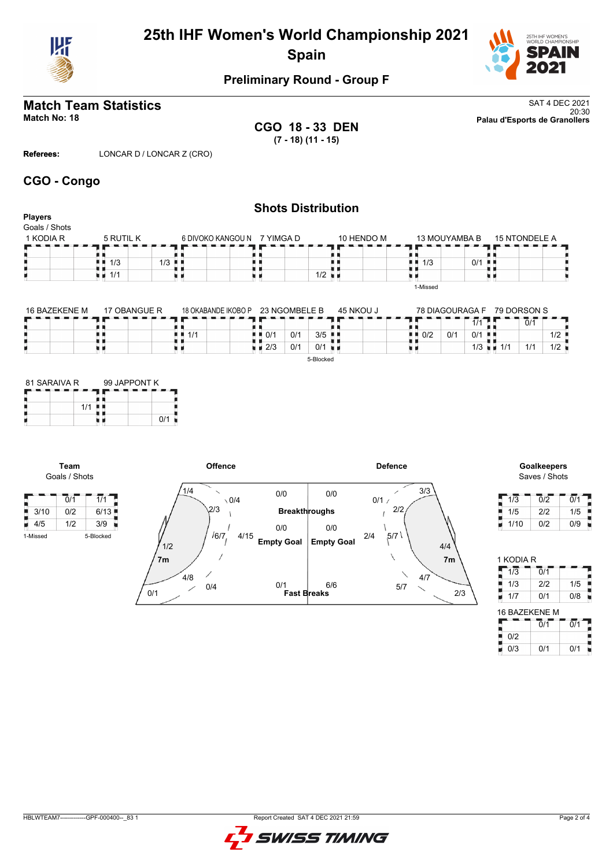

# **25th IHF Women's World Championship 2021 Spain**



### **Preliminary Round - Group F**

# **Match Team Statistics** SAT 4 DEC 2021

**CGO 18 - 33 DEN (7 - 18) (11 - 15)**

20:30 **Match No: 18 Palau d'Esports de Granollers**

**Referees:** LONCAR D / LONCAR Z (CRO)

#### **CGO - Congo**

#### **Shots Distribution Players** Goals / Shots  $1$  KODIA R  $-$  5 RUTIL K 15 NTONDELE A 6 DIVOKO KANGOU N 7 YIMGA D 10 HENDO M 13 MOUYAMBA B п  $\blacksquare$  $\frac{1}{1/3}$  0/1  $\begin{array}{c} \n \begin{array}{c} \n \cdot \\
\cdot \\
\cdot \\
\cdot \\
\hline\n \end{array} \\
\hline\n \end{array}$ {}<br>{} A A ÄЦ H  $1/3$  1/3 1/1 υø χ. u s 1-Missed

| 16 BAZEKENE M | 17 OBANGUE R | 18 OKABANDE IKOBO P | 23 NGOMBELE B      |     | 45 NKOU J            |     | 78 DIAGOURAGA F |           | 79 DORSON S |     |     |
|---------------|--------------|---------------------|--------------------|-----|----------------------|-----|-----------------|-----------|-------------|-----|-----|
|               |              |                     |                    |     |                      |     |                 | 1/1       |             | 0/1 |     |
|               |              | 1/1                 | $\blacksquare$ 0/1 | 0/1 | $3/5$ $\blacksquare$ | 0/2 | 0/2             | $0/1$ .   |             |     | 1/2 |
|               |              |                     | $\blacksquare$ 2/3 | 0/1 | $0/1$ $\blacksquare$ |     |                 | $1/3$ and | 1/1         | 1/1 | 1/2 |
|               |              |                     |                    |     | 5-Blocked            |     |                 |           |             |     |     |

| 81 SARAIVA R |     | 99 JAPPONT K |  |     |  |  |  |  |
|--------------|-----|--------------|--|-----|--|--|--|--|
|              |     |              |  |     |  |  |  |  |
|              | 1/1 |              |  |     |  |  |  |  |
|              |     |              |  | 0/1 |  |  |  |  |

**Team** Goals / Shots

 $4/5$  1/2

F



# Saves / Shots

| 1/3  | 0/2 | 0/1 |
|------|-----|-----|
| 1/5  | 2/2 | 1/5 |
| 1/10 | 0/2 | 0/9 |

| 1 KODIA R     |                             |                  |
|---------------|-----------------------------|------------------|
| 1/3           | $\overline{0}/\overline{1}$ |                  |
| 1/3           | 2/2                         | 1/5              |
| 1/7           | 0/1                         | 0/8              |
| 16 BAZEKENE M |                             |                  |
|               | Ō/1                         | $\overline{0/1}$ |
| 0/2           |                             |                  |
| 0/3           | 0/1                         | 0/1              |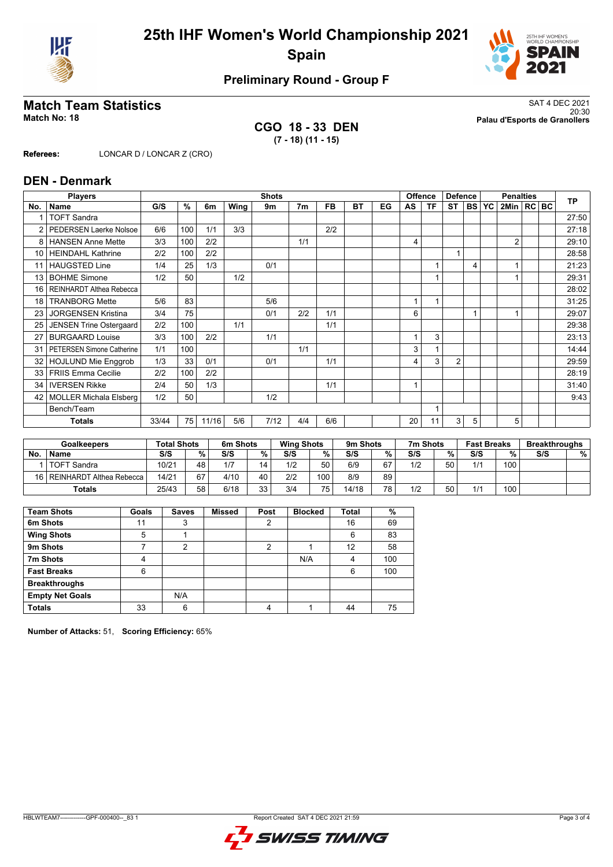



## **Preliminary Round - Group F**

**CGO 18 - 33 DEN (7 - 18) (11 - 15)**

**Match Team Statistics** SAT 4 DEC 2021 20:30 **Match No: 18 Palau d'Esports de Granollers**

**Referees:** LONCAR D / LONCAR Z (CRO)

#### **DEN - Denmark**

|                 | <b>Players</b>                   |       |     |       |      | <b>Shots</b> |                |     |    |    |    | <b>Offence</b> | <b>Defence</b> |                | <b>Penalties</b> |                |  |  | <b>TP</b> |
|-----------------|----------------------------------|-------|-----|-------|------|--------------|----------------|-----|----|----|----|----------------|----------------|----------------|------------------|----------------|--|--|-----------|
| No.             | <b>Name</b>                      | G/S   | %   | 6m    | Wing | 9m           | 7 <sub>m</sub> | FB  | ВT | EG | AS | ΤF             | <b>ST</b>      | <b>BS</b>      | YC               | 2Min   RC   BC |  |  |           |
|                 | <b>TOFT Sandra</b>               |       |     |       |      |              |                |     |    |    |    |                |                |                |                  |                |  |  | 27:50     |
| 2               | <b>PEDERSEN Laerke Nolsoe</b>    | 6/6   | 100 | 1/1   | 3/3  |              |                | 2/2 |    |    |    |                |                |                |                  |                |  |  | 27:18     |
| 8               | <b>HANSEN Anne Mette</b>         | 3/3   | 100 | 2/2   |      |              | 1/1            |     |    |    | 4  |                |                |                |                  | $\overline{2}$ |  |  | 29:10     |
| 10 <sup>1</sup> | <b>HEINDAHL Kathrine</b>         | 2/2   | 100 | 2/2   |      |              |                |     |    |    |    |                | 1              |                |                  |                |  |  | 28:58     |
| 11              | <b>HAUGSTED Line</b>             | 1/4   | 25  | 1/3   |      | 0/1          |                |     |    |    |    |                |                | $\overline{4}$ |                  |                |  |  | 21:23     |
| 13              | <b>BOHME Simone</b>              | 1/2   | 50  |       | 1/2  |              |                |     |    |    |    |                |                |                |                  |                |  |  | 29:31     |
| 16              | REINHARDT Althea Rebecca         |       |     |       |      |              |                |     |    |    |    |                |                |                |                  |                |  |  | 28:02     |
| 18              | <b>TRANBORG Mette</b>            | 5/6   | 83  |       |      | 5/6          |                |     |    |    |    |                |                |                |                  |                |  |  | 31:25     |
| 23              | <b>JORGENSEN Kristina</b>        | 3/4   | 75  |       |      | 0/1          | 2/2            | 1/1 |    |    | 6  |                |                |                |                  |                |  |  | 29:07     |
| 25              | JENSEN Trine Ostergaard          | 2/2   | 100 |       | 1/1  |              |                | 1/1 |    |    |    |                |                |                |                  |                |  |  | 29:38     |
| 27              | <b>BURGAARD Louise</b>           | 3/3   | 100 | 2/2   |      | 1/1          |                |     |    |    |    | 3              |                |                |                  |                |  |  | 23:13     |
| 31              | <b>PETERSEN Simone Catherine</b> | 1/1   | 100 |       |      |              | 1/1            |     |    |    | 3  |                |                |                |                  |                |  |  | 14:44     |
| 32              | <b>HOJLUND Mie Enggrob</b>       | 1/3   | 33  | 0/1   |      | 0/1          |                | 1/1 |    |    | 4  | 3              | $\overline{2}$ |                |                  |                |  |  | 29:59     |
| 33              | <b>FRIIS Emma Cecilie</b>        | 2/2   | 100 | 2/2   |      |              |                |     |    |    |    |                |                |                |                  |                |  |  | 28:19     |
| 34              | <b>IVERSEN Rikke</b>             | 2/4   | 50  | 1/3   |      |              |                | 1/1 |    |    |    |                |                |                |                  |                |  |  | 31:40     |
| 42              | <b>MOLLER Michala Elsberg</b>    | 1/2   | 50  |       |      | 1/2          |                |     |    |    |    |                |                |                |                  |                |  |  | 9:43      |
|                 | Bench/Team                       |       |     |       |      |              |                |     |    |    |    |                |                |                |                  |                |  |  |           |
|                 | <b>Totals</b>                    | 33/44 | 75  | 11/16 | 5/6  | 7/12         | 4/4            | 6/6 |    |    | 20 | 11             | 3              | 5              |                  | 5              |  |  |           |

| <b>Goalkeepers</b> |                               | <b>Total Shots</b> |    | 6m Shots |    |     | 9m Shots<br><b>Wing Shots</b> |       |     |     | 7m Shots |     | <b>Fast Breaks</b> |     | <b>Breakthroughs</b> |  |
|--------------------|-------------------------------|--------------------|----|----------|----|-----|-------------------------------|-------|-----|-----|----------|-----|--------------------|-----|----------------------|--|
| No.                | <b>Name</b>                   | S/S                | %  | S/S      | %  | S/S | %                             | S/S   | %   | S/S | %        | S/S | %                  | S/S | %                    |  |
|                    | <b>TOFT Sandra</b>            | 10/21              | 48 |          | 14 | 1/2 | 50                            | 6/9   | 67  | 1/2 | 50       | 1/1 | 100                |     |                      |  |
|                    | 16   REINHARDT Althea Rebecca | 14/21              | 67 | 4/10     | 40 | 2/2 | 100.                          | 8/9   | 89  |     |          |     |                    |     |                      |  |
|                    | <b>Totals</b>                 | 25/43              | 58 | 6/18     | 33 | 3/4 | 75                            | 14/18 | 78, | 1/2 | 50       | 1/1 | 100                |     |                      |  |

| <b>Team Shots</b>      | Goals | <b>Saves</b> | <b>Missed</b> | Post | <b>Blocked</b> | <b>Total</b> | %   |
|------------------------|-------|--------------|---------------|------|----------------|--------------|-----|
| 6m Shots               | 11    | 3            |               | 2    |                | 16           | 69  |
| <b>Wing Shots</b>      | 5     |              |               |      |                | 6            | 83  |
| 9m Shots               |       | 2            |               | っ    |                | 12           | 58  |
| 7m Shots               | 4     |              |               |      | N/A            | 4            | 100 |
| <b>Fast Breaks</b>     | 6     |              |               |      |                | 6            | 100 |
| <b>Breakthroughs</b>   |       |              |               |      |                |              |     |
| <b>Empty Net Goals</b> |       | N/A          |               |      |                |              |     |
| <b>Totals</b>          | 33    | 6            |               | 4    |                | 44           | 75  |

**Number of Attacks:** 51, **Scoring Efficiency:** 65%